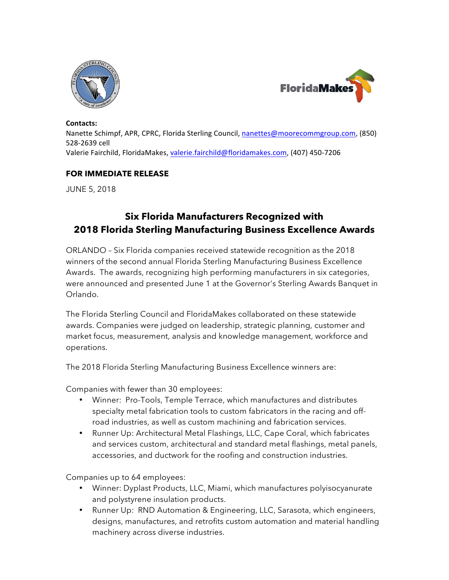



#### Contacts:

Nanette Schimpf, APR, CPRC, Florida Sterling Council, nanettes@moorecommgroup.com, (850) 528-2639 cell Valerie Fairchild, FloridaMakes, valerie.fairchild@floridamakes.com, (407) 450-7206

### **FOR IMMEDIATE RELEASE**

JUNE 5, 2018

# **Six Florida Manufacturers Recognized with 2018 Florida Sterling Manufacturing Business Excellence Awards**

ORLANDO – Six Florida companies received statewide recognition as the 2018 winners of the second annual Florida Sterling Manufacturing Business Excellence Awards. The awards, recognizing high performing manufacturers in six categories, were announced and presented June 1 at the Governor's Sterling Awards Banquet in Orlando.

The Florida Sterling Council and FloridaMakes collaborated on these statewide awards. Companies were judged on leadership, strategic planning, customer and market focus, measurement, analysis and knowledge management, workforce and operations.

The 2018 Florida Sterling Manufacturing Business Excellence winners are:

Companies with fewer than 30 employees:

- Winner: Pro-Tools, Temple Terrace, which manufactures and distributes specialty metal fabrication tools to custom fabricators in the racing and offroad industries, as well as custom machining and fabrication services.
- Runner Up: Architectural Metal Flashings, LLC, Cape Coral, which fabricates and services custom, architectural and standard metal flashings, metal panels, accessories, and ductwork for the roofing and construction industries.

Companies up to 64 employees:

- Winner: Dyplast Products, LLC, Miami, which manufactures polyisocyanurate and polystyrene insulation products.
- Runner Up: RND Automation & Engineering, LLC, Sarasota, which engineers, designs, manufactures, and retrofits custom automation and material handling machinery across diverse industries.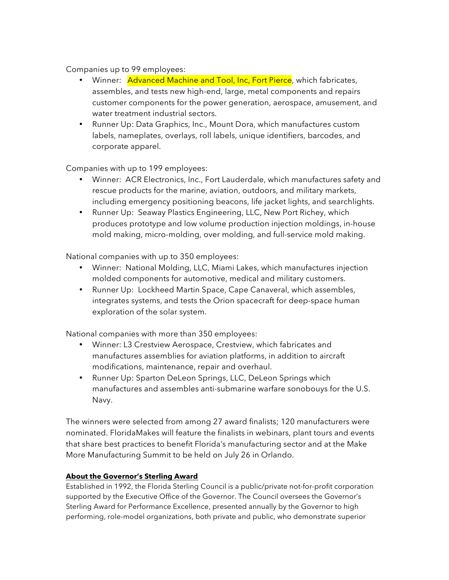Companies up to 99 employees:

- Winner: Advanced Machine and Tool, Inc, Fort Pierce, which fabricates, assembles, and tests new high-end, large, metal components and repairs customer components for the power generation, aerospace, amusement, and water treatment industrial sectors.
- Runner Up: Data Graphics, Inc., Mount Dora, which manufactures custom labels, nameplates, overlays, roll labels, unique identifiers, barcodes, and corporate apparel.

Companies with up to 199 employees:

- Winner: ACR Electronics, Inc., Fort Lauderdale, which manufactures safety and rescue products for the marine, aviation, outdoors, and military markets, including emergency positioning beacons, life jacket lights, and searchlights.
- Runner Up: Seaway Plastics Engineering, LLC, New Port Richey, which produces prototype and low volume production injection moldings, in-house mold making, micro-molding, over molding, and full-service mold making.

National companies with up to 350 employees:

- Winner: National Molding, LLC, Miami Lakes, which manufactures injection molded components for automotive, medical and military customers.
- Runner Up: Lockheed Martin Space, Cape Canaveral, which assembles, integrates systems, and tests the Orion spacecraft for deep-space human exploration of the solar system.

National companies with more than 350 employees:

- Winner: L3 Crestview Aerospace, Crestview, which fabricates and manufactures assemblies for aviation platforms, in addition to aircraft modifications, maintenance, repair and overhaul.
- Runner Up: Sparton DeLeon Springs, LLC, DeLeon Springs which manufactures and assembles anti-submarine warfare sonobouys for the U.S. Navy.

The winners were selected from among 27 award finalists; 120 manufacturers were nominated. FloridaMakes will feature the finalists in webinars, plant tours and events that share best practices to benefit Florida's manufacturing sector and at the Make More Manufacturing Summit to be held on July 26 in Orlando.

## **About the Governor's Sterling Award**

Established in 1992, the Florida Sterling Council is a public/private not-for-profit corporation supported by the Executive Office of the Governor. The Council oversees the Governor's Sterling Award for Performance Excellence, presented annually by the Governor to high performing, role-model organizations, both private and public, who demonstrate superior